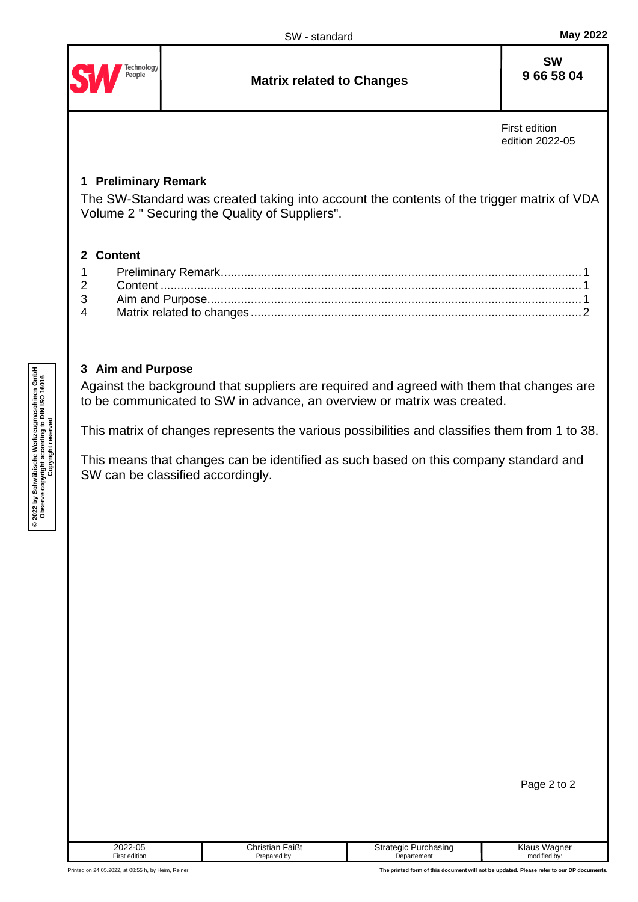<span id="page-0-0"></span>

## <span id="page-0-2"></span><span id="page-0-1"></span>**3 Aim and Purpose**

Against the background that suppliers are required and agreed with them that changes are to be communicated to SW in advance, an overview or matrix was created.

This matrix of changes represents the various possibilities and classifies them from 1 to 38.

This means that changes can be identified as such based on this company standard and SW can be classified accordingly.

| Page 2 to 2 |  |  |  |
|-------------|--|--|--|
|-------------|--|--|--|

| 2022-05              | <sup>-</sup> aißt<br>Christian | Strategic<br>Purchasing | Klaus<br>Wagner |
|----------------------|--------------------------------|-------------------------|-----------------|
| <b>First edition</b> | Prepared by:                   | Departement             | modified by:    |